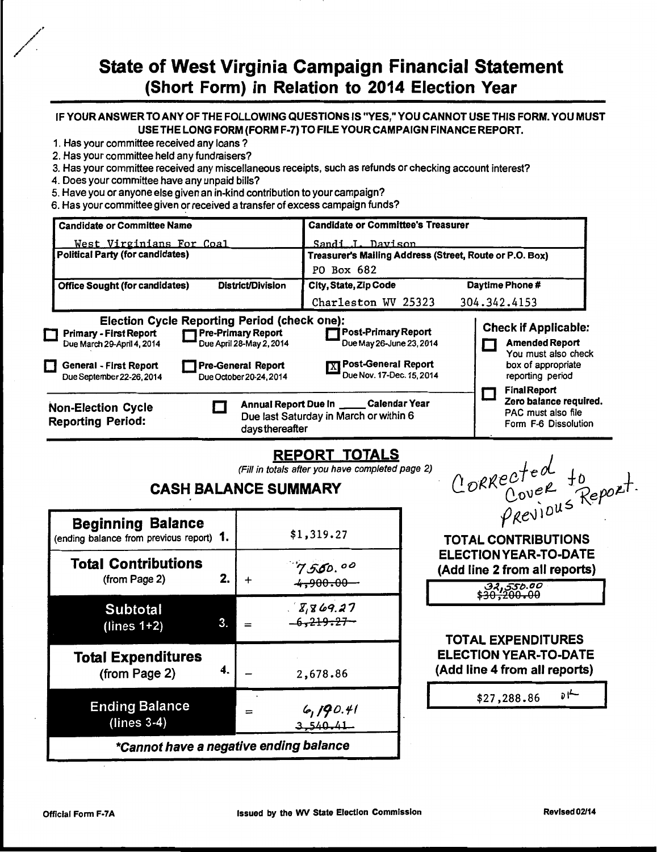# State of West Virginia Campaign Financial Statement (Short Form) in Relation to 2014 Election Year

### IF YOUR ANSWER TO ANY OF THE FOLLOWING QUESTIONS IS "YES," YOU CANNOT USE THIS FORM. YOU MUST USE THE LONG FORM (FORM F-7) TO FILE YOUR CAMPAIGN FINANCE REPORT.

- 1. Has your committee received any loans ?
- 2. Has your committee held any fundraisers?
- 3. Has your committee received any miscellaneous receipts, such as refunds or checking account interest?
- 4. Does your committee have any unpaid bills?
- 5. Have you or anyone else given an in-kind contribution to your campaign?
- 6. Has your committee given or received a transfer of excess campaign funds?

| <b>Candidate or Committee Name</b>                                                                                                                               |                                                                                                                                                                        | <b>Candidate or Committee's Treasurer</b>                                                             |                                                                                                                                              |  |
|------------------------------------------------------------------------------------------------------------------------------------------------------------------|------------------------------------------------------------------------------------------------------------------------------------------------------------------------|-------------------------------------------------------------------------------------------------------|----------------------------------------------------------------------------------------------------------------------------------------------|--|
| Sandi J. Davison<br>West Virginians For Coal<br><b>Political Party (for candidates)</b><br>Treasurer's Mailing Address (Street, Route or P.O. Box)<br>PO Box 682 |                                                                                                                                                                        |                                                                                                       |                                                                                                                                              |  |
| <b>Office Sought (for candidates)</b>                                                                                                                            | District/Division                                                                                                                                                      | City, State, Zip Code<br>Charleston WV 25323                                                          | Daytime Phone #<br>304.342.4153                                                                                                              |  |
| <b>Primary - First Report</b><br>Due March 29-April 4, 2014<br>General - First Report<br>l 1<br>Due September 22-26, 2014                                        | <b>Election Cycle Reporting Period (check one):</b><br><b>1 Pre-Primary Report</b><br>Due April 28-May 2, 2014<br><b>Pre-General Report</b><br>Due October 20-24, 2014 | Post-Primary Report<br>Due May 26-June 23, 2014<br>X Post-General Report<br>Due Nov. 17-Dec. 15, 2014 | <b>Check if Applicable:</b><br><b>Amended Report</b><br>You must also check<br>box of appropriate<br>reporting period<br><b>Final Report</b> |  |
| <b>Non-Election Cycle</b><br><b>Reporting Period:</b>                                                                                                            | daysthereafter                                                                                                                                                         | Annual Report Due In _____ Calendar Year<br>Due last Saturday in March or within 6                    | Zero balance required.<br>PAC must also file<br>Form F-6 Dissolution                                                                         |  |

# REPORT TOTALS

(Fill *in* totals after you have completed page 2)

# CASH BALANCE SUMMARY

| <b>Beginning Balance</b><br>(ending balance from previous report) 1. |    |   | \$1,319.27                     |
|----------------------------------------------------------------------|----|---|--------------------------------|
| <b>Total Contributions</b><br>(from Page 2)                          | 2. | + | 7550.00<br><del>4,900.00</del> |
| <b>Subtotal</b><br>(lines $1+2$ )                                    | 3. |   | 18,869.27<br>$-6,219.27-$      |
| <b>Total Expenditures</b><br>(from Page 2)                           | 4. |   | 2,678.86                       |
| <b>Ending Balance</b><br>$(lines 3-4)$                               |    |   | 6, 190.41                      |
| *Cannot have a negative ending balance                               |    |   |                                |

CORRected to *Popet*.  $\varphi$ <sub>R</sub>evium .

TOTAL CONTRIBUTIONS ELECTION YEAR-TO-DATE (Add line 2 from all reports)

| 32,550.00<br><del>\$30,200.00</del> |
|-------------------------------------|
|-------------------------------------|

I

## TOTAL EXPENDITURES ELECTION YEAR-TO-DATE (Add line 4 from all reports)

| \$27,288.86 |  |
|-------------|--|
|             |  |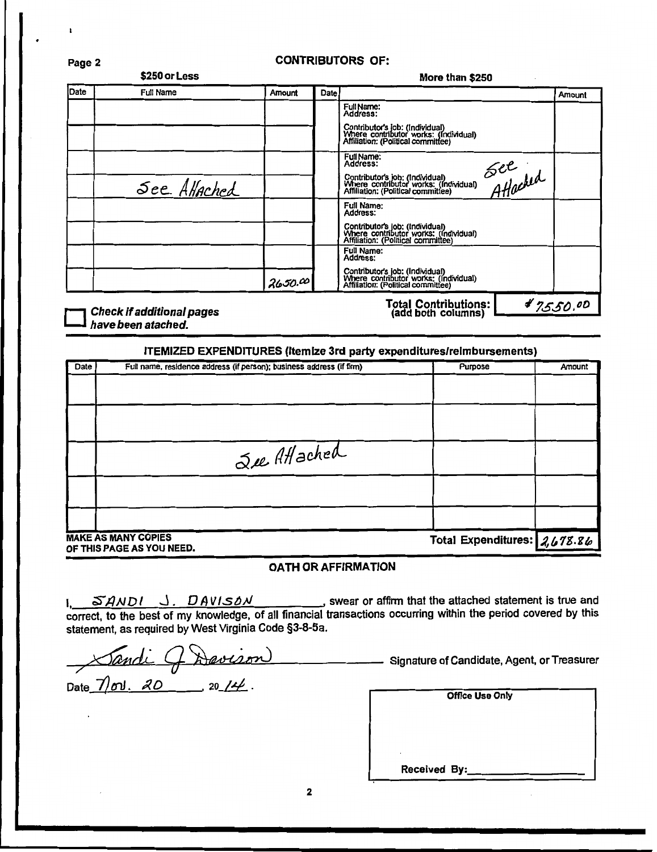| Page 2 | <b>CONTRIBUTORS OF:</b> |        |                 |                        |        |
|--------|-------------------------|--------|-----------------|------------------------|--------|
|        | \$250 or Less           |        | More than \$250 |                        |        |
| Date   | Full Name               | Amount | <b>Date</b>     |                        | Amount |
|        |                         |        |                 | Full Name:<br>Address: |        |
|        |                         |        |                 | $A = 1$                |        |

|             |         | Total Contributione: .                                                                                         |                 |
|-------------|---------|----------------------------------------------------------------------------------------------------------------|-----------------|
|             | 2650.00 | Contributor's job: (Individual)<br>Where contributor works: (Individual)<br>Affiliation: (Political committee) |                 |
|             |         | Full Name:<br>Address:                                                                                         |                 |
|             |         | Contributor's job: (Individual)<br>Where contributor works: (Individual)<br>Affiliation: (Political committee) |                 |
|             |         | Full Name:<br>Address:                                                                                         |                 |
| See AHached |         | Contributor's job: (Individual)<br>Where contributor works: (Individual)<br>Affiliation: (Political committee) | See<br>Atlached |
|             |         | Full Name:<br>Address:                                                                                         |                 |
|             |         | Contributor's job: (Individual)<br>Where contributor works: (Individual)<br>Affiliation: (Political committee) |                 |
|             |         | FullName:<br>Address:                                                                                          |                 |

Check if additional pages<br>have been atached.

Fotal Contributions:  $\frac{4}{3.550}$ .

#### ITEMIZED EXPENDITURES {Itemize 3rd party expenditures/reimbursements)

| Date | Full name, residence address (if person); business address (if firm) | Purpose                      | Amount |
|------|----------------------------------------------------------------------|------------------------------|--------|
|      |                                                                      |                              |        |
|      |                                                                      |                              |        |
|      | See Attached                                                         |                              |        |
|      |                                                                      |                              |        |
|      |                                                                      |                              |        |
|      | <b>MAKE AS MANY COPIES</b><br>OF THIS PAGE AS YOU NEED.              | Total Expenditures: 2,678.86 |        |

#### OATH OR AFFIRMATION

1, *SANDI* J. *DAVISON* swear or affirm that the attached statement is true and correct, to the best of my knowledge, of all financial transactions occurring within the period covered by this statement, as required by West Virginia Code §3-8-5a.

Date  $\frac{\pi}{20!}$ .  $\frac{\pi}{20}$  . 20  $\frac{14}{2}$ .

Signature of Candidate, Agent, or Treasurer

| <b>Office Use Only</b> |
|------------------------|
|                        |
|                        |
| ٠                      |
| Received By:           |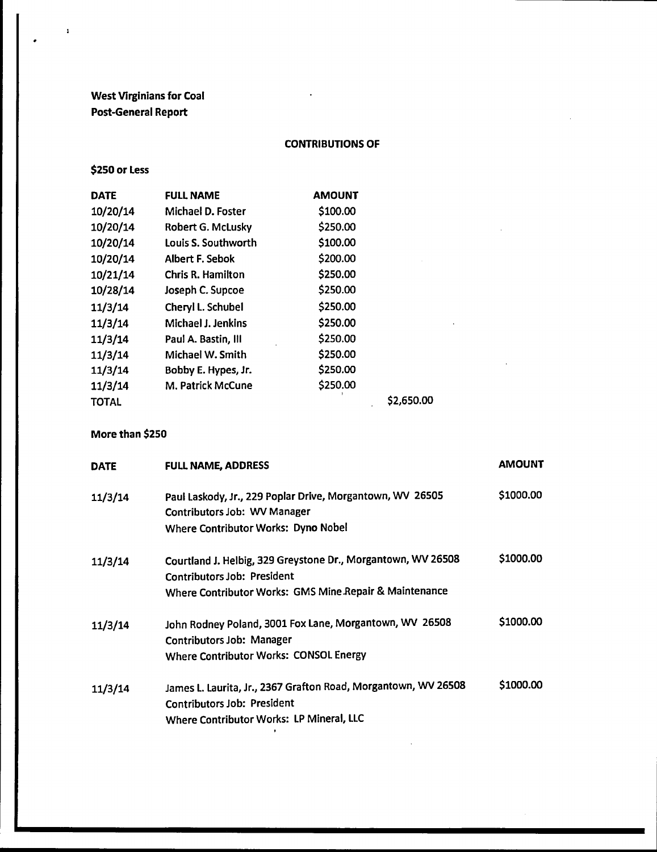# West Virginians for Coal Post-General Report

### CONTRIBUTIONS OF

\$250 or Less

 $\pmb{\mathsf{i}}$ 

| <b>DATE</b>  | <b>FULL NAME</b>         | <b>AMOUNT</b> |            |
|--------------|--------------------------|---------------|------------|
| 10/20/14     | Michael D. Foster        | \$100.00      |            |
| 10/20/14     | Robert G. McLusky        | \$250.00      |            |
| 10/20/14     | Louis S. Southworth      | \$100.00      |            |
| 10/20/14     | Albert F. Sebok          | \$200.00      |            |
| 10/21/14     | <b>Chris R. Hamilton</b> | \$250.00      |            |
| 10/28/14     | Joseph C. Supcoe         | \$250.00      |            |
| 11/3/14      | Cheryl L. Schubel        | \$250.00      |            |
| 11/3/14      | Michael J. Jenkins       | \$250.00      |            |
| 11/3/14      | Paul A. Bastin, Ill      | \$250.00      |            |
| 11/3/14      | Michael W. Smith         | \$250.00      |            |
| 11/3/14      | Bobby E. Hypes, Jr.      | \$250.00      |            |
| 11/3/14      | M. Patrick McCune        | \$250.00      |            |
| <b>TOTAL</b> |                          |               | \$2,650.00 |

More than \$250

| <b>DATE</b> | <b>FULL NAME, ADDRESS</b>                                                                                                                             | <b>AMOUNT</b> |
|-------------|-------------------------------------------------------------------------------------------------------------------------------------------------------|---------------|
| 11/3/14     | Paul Laskody, Jr., 229 Poplar Drive, Morgantown, WV 26505<br>Contributors Job: WV Manager<br>Where Contributor Works: Dyno Nobel                      | \$1000.00     |
| 11/3/14     | Courtland J. Helbig, 329 Greystone Dr., Morgantown, WV 26508<br>Contributors Job: President<br>Where Contributor Works: GMS Mine Repair & Maintenance | \$1000.00     |
| 11/3/14     | John Rodney Poland, 3001 Fox Lane, Morgantown, WV 26508<br><b>Contributors Job: Manager</b><br>Where Contributor Works: CONSOL Energy                 | \$1000.00     |
| 11/3/14     | James L. Laurita, Jr., 2367 Grafton Road, Morgantown, WV 26508<br>Contributors Job: President<br>Where Contributor Works: LP Mineral, LLC             | \$1000.00     |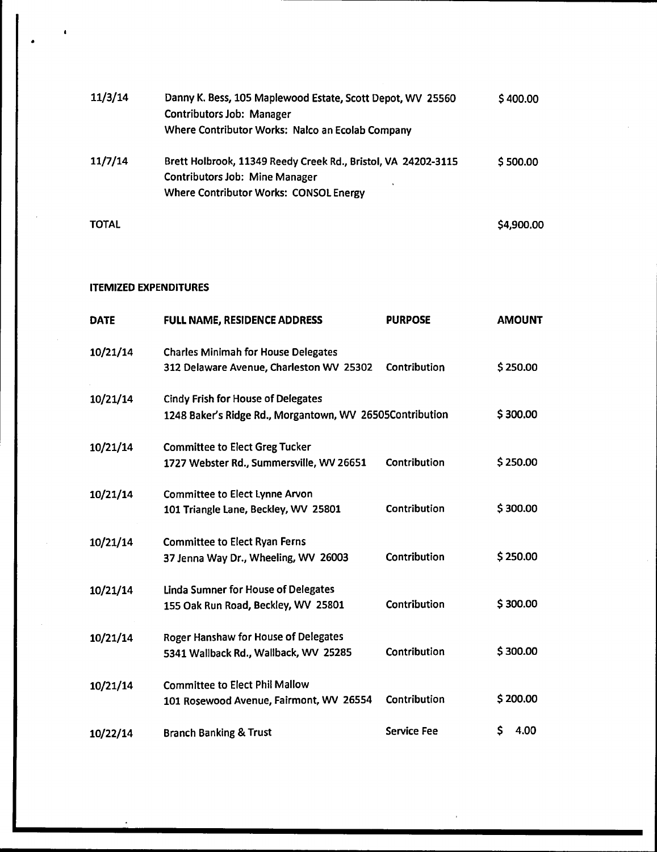| 11/3/14      | Danny K. Bess, 105 Maplewood Estate, Scott Depot, WV 25560<br><b>Contributors Job: Manager</b><br>Where Contributor Works: Nalco an Ecolab Company      | \$400.00   |
|--------------|---------------------------------------------------------------------------------------------------------------------------------------------------------|------------|
| 11/7/14      | Brett Holbrook, 11349 Reedy Creek Rd., Bristol, VA 24202-3115<br><b>Contributors Job: Mine Manager</b><br><b>Where Contributor Works: CONSOL Energy</b> | \$500.00   |
| <b>TOTAL</b> |                                                                                                                                                         | \$4,900.00 |

### ITEMIZED EXPENDITURES

•

 $\overline{\phantom{a}}$ 

| <b>DATE</b> | FULL NAME, RESIDENCE ADDRESS                                                                          | <b>PURPOSE</b>     | <b>AMOUNT</b> |
|-------------|-------------------------------------------------------------------------------------------------------|--------------------|---------------|
| 10/21/14    | <b>Charles Minimah for House Delegates</b><br>312 Delaware Avenue, Charleston WV 25302                | Contribution       | \$250.00      |
| 10/21/14    | <b>Cindy Frish for House of Delegates</b><br>1248 Baker's Ridge Rd., Morgantown, WV 26505Contribution |                    | \$300.00      |
| 10/21/14    | <b>Committee to Elect Greg Tucker</b><br>1727 Webster Rd., Summersville, WV 26651                     | Contribution       | \$250.00      |
| 10/21/14    | <b>Committee to Elect Lynne Arvon</b><br>101 Triangle Lane, Beckley, WV 25801                         | Contribution       | \$300.00      |
| 10/21/14    | <b>Committee to Elect Ryan Ferns</b><br>37 Jenna Way Dr., Wheeling, WV 26003                          | Contribution       | \$250.00      |
| 10/21/14    | <b>Linda Sumner for House of Delegates</b><br>155 Oak Run Road, Beckley, WV 25801                     | Contribution       | \$300.00      |
| 10/21/14    | <b>Roger Hanshaw for House of Delegates</b><br>5341 Wallback Rd., Wallback, WV 25285                  | Contribution       | \$300.00      |
| 10/21/14    | <b>Committee to Elect Phil Mallow</b><br>101 Rosewood Avenue, Fairmont, WV 26554                      | Contribution       | \$200.00      |
| 10/22/14    | <b>Branch Banking &amp; Trust</b>                                                                     | <b>Service Fee</b> | \$<br>4.00    |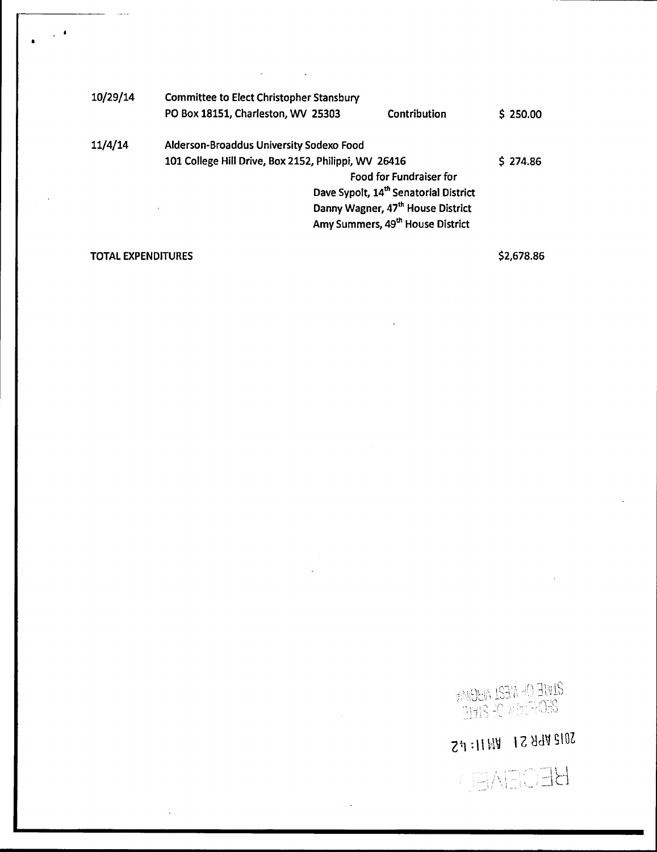| 10/29/14 | Committee to Elect Christopher Stansbury             |              |          |
|----------|------------------------------------------------------|--------------|----------|
|          | PO Box 18151, Charleston, WV 25303                   | Contribution | \$250.00 |
| 11/4/14  | Alderson-Broaddus University Sodexo Food             |              |          |
|          | 101 College Hill Drive, Box 2152, Philippi, WV 26416 |              | \$274.86 |
|          | Food for Fundraiser for                              |              |          |
|          | Dave Sypolt, 14 <sup>th</sup> Senatorial District    |              |          |
|          | Danny Wagner, 47 <sup>th</sup> House District        |              |          |
|          | Amy Summers, 49th House District                     |              |          |
|          |                                                      |              |          |

## TOTAL EXPENDITURES

•

 $\ddot{\phantom{1}}$ 

\$2,678.86

<mark>2LVLE OF ME2L ALIGIMIN</mark><br>2EO/FIMM OF 2LVLE

24:11 HA 1 S A 4A 2102

**HECENED**